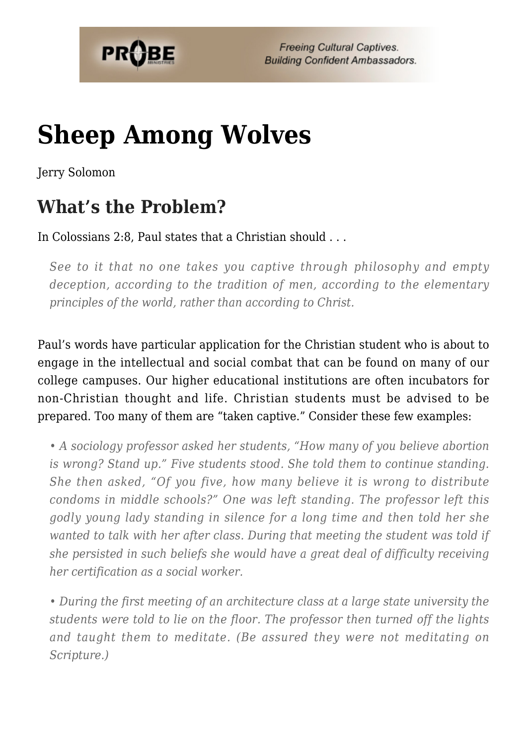

# **[Sheep Among Wolves](https://probe.org/sheep-among-wolves/)**

Jerry Solomon

## **What's the Problem?**

In Colossians 2:8, Paul states that a Christian should . . .

*See to it that no one takes you captive through philosophy and empty deception, according to the tradition of men, according to the elementary principles of the world, rather than according to Christ.*

Paul's words have particular application for the Christian student who is about to engage in the intellectual and social combat that can be found on many of our college campuses. Our higher educational institutions are often incubators for non-Christian thought and life. Christian students must be advised to be prepared. Too many of them are "taken captive." Consider these few examples:

*• A sociology professor asked her students, "How many of you believe abortion is wrong? Stand up." Five students stood. She told them to continue standing. She then asked, "Of you five, how many believe it is wrong to distribute condoms in middle schools?" One was left standing. The professor left this godly young lady standing in silence for a long time and then told her she wanted to talk with her after class. During that meeting the student was told if she persisted in such beliefs she would have a great deal of difficulty receiving her certification as a social worker.*

*• During the first meeting of an architecture class at a large state university the students were told to lie on the floor. The professor then turned off the lights and taught them to meditate. (Be assured they were not meditating on Scripture.)*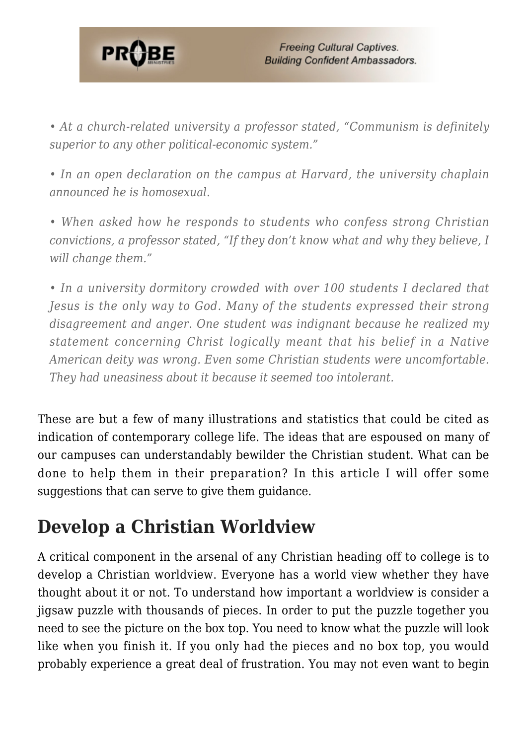

*• At a church-related university a professor stated, "Communism is definitely superior to any other political-economic system."*

*• In an open declaration on the campus at Harvard, the university chaplain announced he is homosexual.*

*• When asked how he responds to students who confess strong Christian convictions, a professor stated, "If they don't know what and why they believe, I will change them."*

*• In a university dormitory crowded with over 100 students I declared that Jesus is the only way to God. Many of the students expressed their strong disagreement and anger. One student was indignant because he realized my statement concerning Christ logically meant that his belief in a Native American deity was wrong. Even some Christian students were uncomfortable. They had uneasiness about it because it seemed too intolerant.*

These are but a few of many illustrations and statistics that could be cited as indication of contemporary college life. The ideas that are espoused on many of our campuses can understandably bewilder the Christian student. What can be done to help them in their preparation? In this article I will offer some suggestions that can serve to give them guidance.

## **Develop a Christian Worldview**

A critical component in the arsenal of any Christian heading off to college is to develop a Christian worldview. Everyone has a world view whether they have thought about it or not. To understand how important a worldview is consider a jigsaw puzzle with thousands of pieces. In order to put the puzzle together you need to see the picture on the box top. You need to know what the puzzle will look like when you finish it. If you only had the pieces and no box top, you would probably experience a great deal of frustration. You may not even want to begin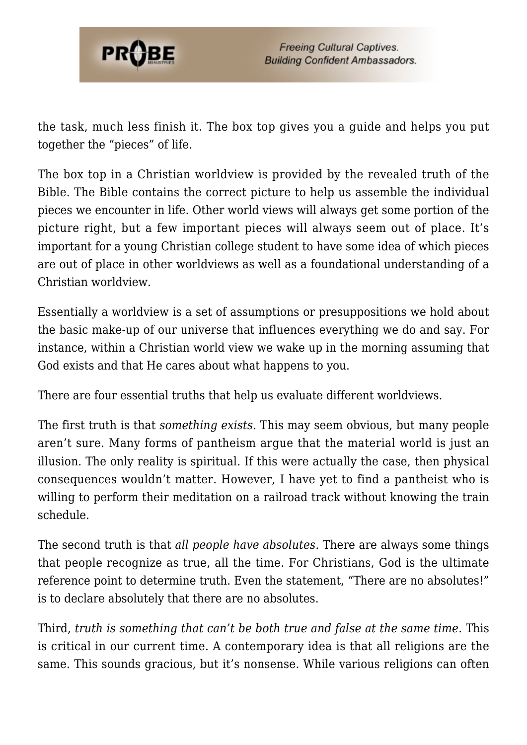

the task, much less finish it. The box top gives you a guide and helps you put together the "pieces" of life.

The box top in a Christian worldview is provided by the revealed truth of the Bible. The Bible contains the correct picture to help us assemble the individual pieces we encounter in life. Other world views will always get some portion of the picture right, but a few important pieces will always seem out of place. It's important for a young Christian college student to have some idea of which pieces are out of place in other worldviews as well as a foundational understanding of a Christian worldview.

Essentially a worldview is a set of assumptions or presuppositions we hold about the basic make-up of our universe that influences everything we do and say. For instance, within a Christian world view we wake up in the morning assuming that God exists and that He cares about what happens to you.

There are four essential truths that help us evaluate different worldviews.

The first truth is that *something exists*. This may seem obvious, but many people aren't sure. Many forms of pantheism argue that the material world is just an illusion. The only reality is spiritual. If this were actually the case, then physical consequences wouldn't matter. However, I have yet to find a pantheist who is willing to perform their meditation on a railroad track without knowing the train schedule.

The second truth is that *all people have absolutes*. There are always some things that people recognize as true, all the time. For Christians, God is the ultimate reference point to determine truth. Even the statement, "There are no absolutes!" is to declare absolutely that there are no absolutes.

Third, *truth is something that can't be both true and false at the same time*. This is critical in our current time. A contemporary idea is that all religions are the same. This sounds gracious, but it's nonsense. While various religions can often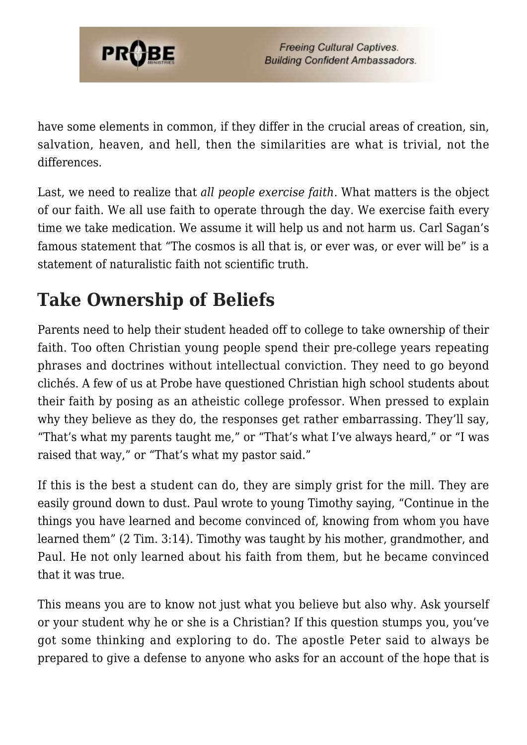

have some elements in common, if they differ in the crucial areas of creation, sin, salvation, heaven, and hell, then the similarities are what is trivial, not the differences.

Last, we need to realize that *all people exercise faith*. What matters is the object of our faith. We all use faith to operate through the day. We exercise faith every time we take medication. We assume it will help us and not harm us. Carl Sagan's famous statement that "The cosmos is all that is, or ever was, or ever will be" is a statement of naturalistic faith not scientific truth.

# **Take Ownership of Beliefs**

Parents need to help their student headed off to college to take ownership of their faith. Too often Christian young people spend their pre-college years repeating phrases and doctrines without intellectual conviction. They need to go beyond clichés. A few of us at Probe have questioned Christian high school students about their faith by posing as an atheistic college professor. When pressed to explain why they believe as they do, the responses get rather embarrassing. They'll say, "That's what my parents taught me," or "That's what I've always heard," or "I was raised that way," or "That's what my pastor said."

If this is the best a student can do, they are simply grist for the mill. They are easily ground down to dust. Paul wrote to young Timothy saying, "Continue in the things you have learned and become convinced of, knowing from whom you have learned them" (2 Tim. 3:14). Timothy was taught by his mother, grandmother, and Paul. He not only learned about his faith from them, but he became convinced that it was true.

This means you are to know not just what you believe but also why. Ask yourself or your student why he or she is a Christian? If this question stumps you, you've got some thinking and exploring to do. The apostle Peter said to always be prepared to give a defense to anyone who asks for an account of the hope that is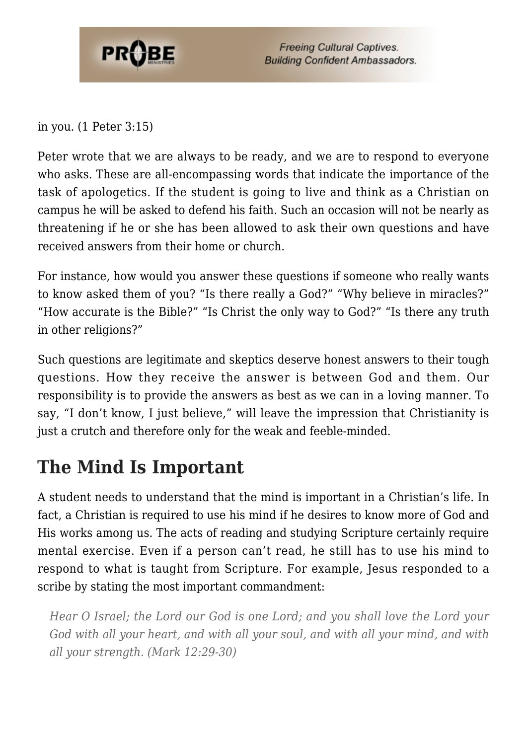

**Freeing Cultural Captives. Building Confident Ambassadors.** 

in you. (1 Peter 3:15)

Peter wrote that we are always to be ready, and we are to respond to everyone who asks. These are all-encompassing words that indicate the importance of the task of apologetics. If the student is going to live and think as a Christian on campus he will be asked to defend his faith. Such an occasion will not be nearly as threatening if he or she has been allowed to ask their own questions and have received answers from their home or church.

For instance, how would you answer these questions if someone who really wants to know asked them of you? "Is there really a God?" "Why believe in miracles?" "How accurate is the Bible?" "Is Christ the only way to God?" "Is there any truth in other religions?"

Such questions are legitimate and skeptics deserve honest answers to their tough questions. How they receive the answer is between God and them. Our responsibility is to provide the answers as best as we can in a loving manner. To say, "I don't know, I just believe," will leave the impression that Christianity is just a crutch and therefore only for the weak and feeble-minded.

#### **The Mind Is Important**

A student needs to understand that the mind is important in a Christian's life. In fact, a Christian is required to use his mind if he desires to know more of God and His works among us. The acts of reading and studying Scripture certainly require mental exercise. Even if a person can't read, he still has to use his mind to respond to what is taught from Scripture. For example, Jesus responded to a scribe by stating the most important commandment:

*Hear O Israel; the Lord our God is one Lord; and you shall love the Lord your God with all your heart, and with all your soul, and with all your mind, and with all your strength. (Mark 12:29-30)*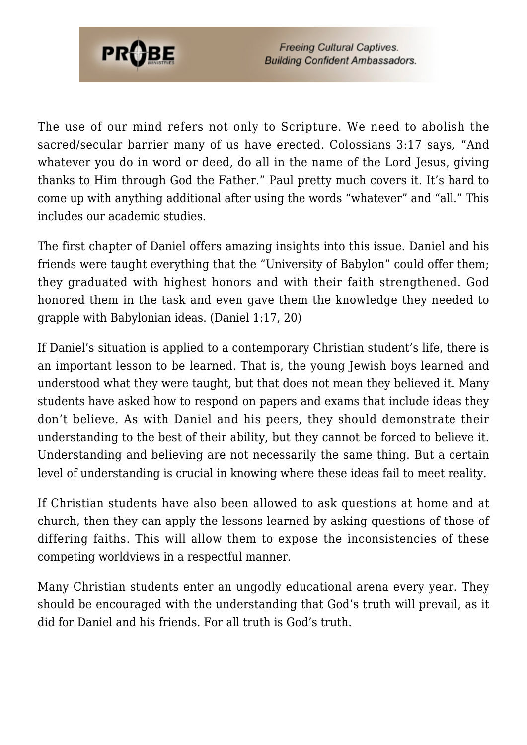

**Freeing Cultural Captives. Building Confident Ambassadors.** 

The use of our mind refers not only to Scripture. We need to abolish the sacred/secular barrier many of us have erected. Colossians 3:17 says, "And whatever you do in word or deed, do all in the name of the Lord Jesus, giving thanks to Him through God the Father." Paul pretty much covers it. It's hard to come up with anything additional after using the words "whatever" and "all." This includes our academic studies.

The first chapter of Daniel offers amazing insights into this issue. Daniel and his friends were taught everything that the "University of Babylon" could offer them; they graduated with highest honors and with their faith strengthened. God honored them in the task and even gave them the knowledge they needed to grapple with Babylonian ideas. (Daniel 1:17, 20)

If Daniel's situation is applied to a contemporary Christian student's life, there is an important lesson to be learned. That is, the young Jewish boys learned and understood what they were taught, but that does not mean they believed it. Many students have asked how to respond on papers and exams that include ideas they don't believe. As with Daniel and his peers, they should demonstrate their understanding to the best of their ability, but they cannot be forced to believe it. Understanding and believing are not necessarily the same thing. But a certain level of understanding is crucial in knowing where these ideas fail to meet reality.

If Christian students have also been allowed to ask questions at home and at church, then they can apply the lessons learned by asking questions of those of differing faiths. This will allow them to expose the inconsistencies of these competing worldviews in a respectful manner.

Many Christian students enter an ungodly educational arena every year. They should be encouraged with the understanding that God's truth will prevail, as it did for Daniel and his friends. For all truth is God's truth.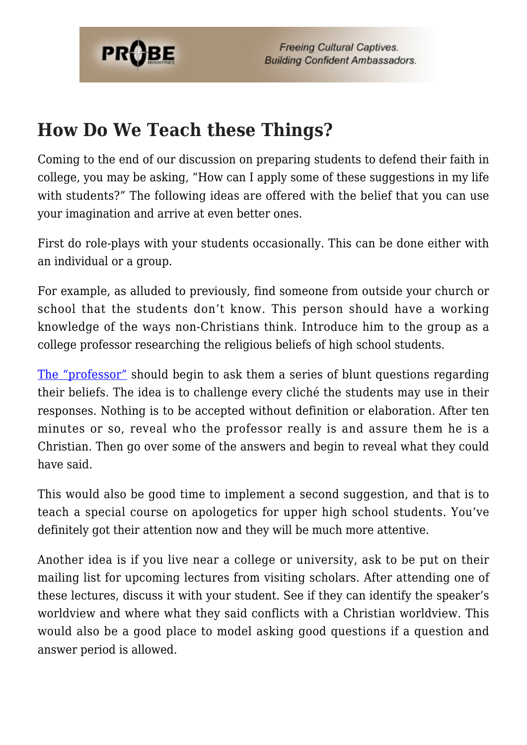

### **How Do We Teach these Things?**

Coming to the end of our discussion on preparing students to defend their faith in college, you may be asking, "How can I apply some of these suggestions in my life with students?" The following ideas are offered with the belief that you can use your imagination and arrive at even better ones.

First do role-plays with your students occasionally. This can be done either with an individual or a group.

For example, as alluded to previously, find someone from outside your church or school that the students don't know. This person should have a working knowledge of the ways non-Christians think. Introduce him to the group as a college professor researching the religious beliefs of high school students.

[The "professor"](http://www.probe.org/site/c.fdKEIMNsEoG/b.6234565/k.A137/The_Professor_Why_Are_You_a_Christian.htm) should begin to ask them a series of blunt questions regarding their beliefs. The idea is to challenge every cliché the students may use in their responses. Nothing is to be accepted without definition or elaboration. After ten minutes or so, reveal who the professor really is and assure them he is a Christian. Then go over some of the answers and begin to reveal what they could have said.

This would also be good time to implement a second suggestion, and that is to teach a special course on apologetics for upper high school students. You've definitely got their attention now and they will be much more attentive.

Another idea is if you live near a college or university, ask to be put on their mailing list for upcoming lectures from visiting scholars. After attending one of these lectures, discuss it with your student. See if they can identify the speaker's worldview and where what they said conflicts with a Christian worldview. This would also be a good place to model asking good questions if a question and answer period is allowed.